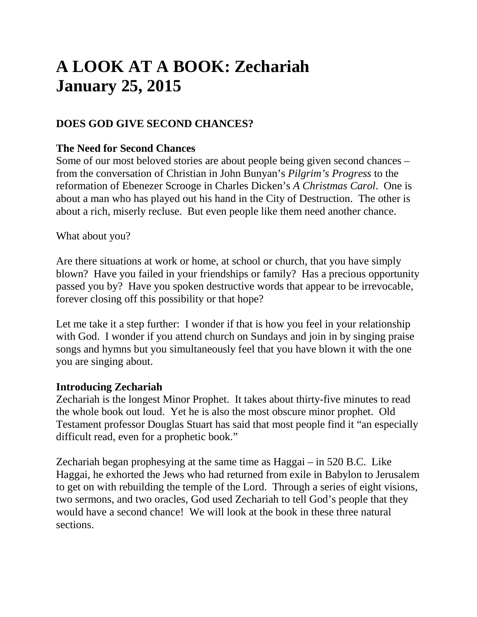# **A LOOK AT A BOOK: Zechariah January 25, 2015**

## **DOES GOD GIVE SECOND CHANCES?**

### **The Need for Second Chances**

Some of our most beloved stories are about people being given second chances – from the conversation of Christian in John Bunyan's *Pilgrim's Progress* to the reformation of Ebenezer Scrooge in Charles Dicken's *A Christmas Carol*. One is about a man who has played out his hand in the City of Destruction. The other is about a rich, miserly recluse. But even people like them need another chance.

What about you?

Are there situations at work or home, at school or church, that you have simply blown? Have you failed in your friendships or family? Has a precious opportunity passed you by? Have you spoken destructive words that appear to be irrevocable, forever closing off this possibility or that hope?

Let me take it a step further: I wonder if that is how you feel in your relationship with God. I wonder if you attend church on Sundays and join in by singing praise songs and hymns but you simultaneously feel that you have blown it with the one you are singing about.

#### **Introducing Zechariah**

Zechariah is the longest Minor Prophet. It takes about thirty-five minutes to read the whole book out loud. Yet he is also the most obscure minor prophet. Old Testament professor Douglas Stuart has said that most people find it "an especially difficult read, even for a prophetic book."

Zechariah began prophesying at the same time as Haggai – in 520 B.C. Like Haggai, he exhorted the Jews who had returned from exile in Babylon to Jerusalem to get on with rebuilding the temple of the Lord. Through a series of eight visions, two sermons, and two oracles, God used Zechariah to tell God's people that they would have a second chance! We will look at the book in these three natural sections.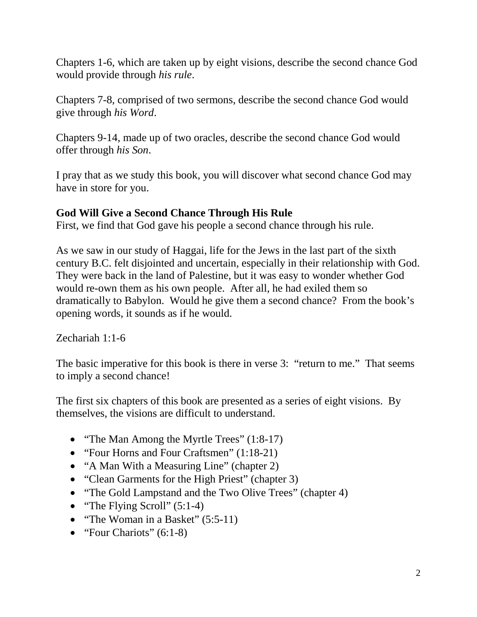Chapters 1-6, which are taken up by eight visions, describe the second chance God would provide through *his rule*.

Chapters 7-8, comprised of two sermons, describe the second chance God would give through *his Word*.

Chapters 9-14, made up of two oracles, describe the second chance God would offer through *his Son*.

I pray that as we study this book, you will discover what second chance God may have in store for you.

#### **God Will Give a Second Chance Through His Rule**

First, we find that God gave his people a second chance through his rule.

As we saw in our study of Haggai, life for the Jews in the last part of the sixth century B.C. felt disjointed and uncertain, especially in their relationship with God. They were back in the land of Palestine, but it was easy to wonder whether God would re-own them as his own people. After all, he had exiled them so dramatically to Babylon. Would he give them a second chance? From the book's opening words, it sounds as if he would.

Zechariah 1:1-6

The basic imperative for this book is there in verse 3: "return to me." That seems to imply a second chance!

The first six chapters of this book are presented as a series of eight visions. By themselves, the visions are difficult to understand.

- "The Man Among the Myrtle Trees" (1:8-17)
- "Four Horns and Four Craftsmen" (1:18-21)
- "A Man With a Measuring Line" (chapter 2)
- "Clean Garments for the High Priest" (chapter 3)
- "The Gold Lampstand and the Two Olive Trees" (chapter 4)
- "The Flying Scroll"  $(5:1-4)$
- "The Woman in a Basket" (5:5-11)
- "Four Chariots"  $(6:1-8)$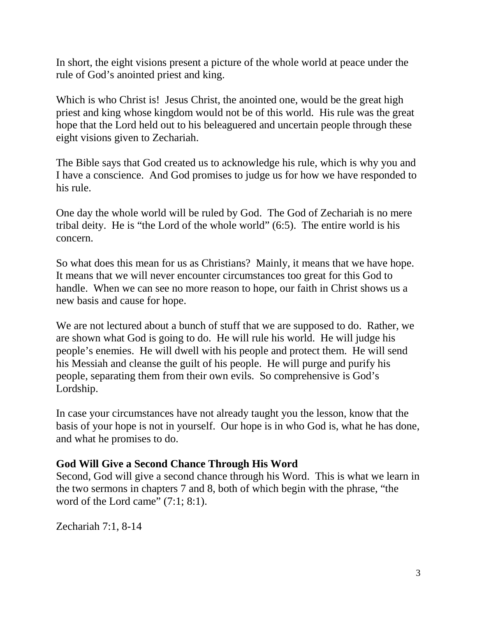In short, the eight visions present a picture of the whole world at peace under the rule of God's anointed priest and king.

Which is who Christ is! Jesus Christ, the anointed one, would be the great high priest and king whose kingdom would not be of this world. His rule was the great hope that the Lord held out to his beleaguered and uncertain people through these eight visions given to Zechariah.

The Bible says that God created us to acknowledge his rule, which is why you and I have a conscience. And God promises to judge us for how we have responded to his rule.

One day the whole world will be ruled by God. The God of Zechariah is no mere tribal deity. He is "the Lord of the whole world" (6:5). The entire world is his concern.

So what does this mean for us as Christians? Mainly, it means that we have hope. It means that we will never encounter circumstances too great for this God to handle. When we can see no more reason to hope, our faith in Christ shows us a new basis and cause for hope.

We are not lectured about a bunch of stuff that we are supposed to do. Rather, we are shown what God is going to do. He will rule his world. He will judge his people's enemies. He will dwell with his people and protect them. He will send his Messiah and cleanse the guilt of his people. He will purge and purify his people, separating them from their own evils. So comprehensive is God's Lordship.

In case your circumstances have not already taught you the lesson, know that the basis of your hope is not in yourself. Our hope is in who God is, what he has done, and what he promises to do.

#### **God Will Give a Second Chance Through His Word**

Second, God will give a second chance through his Word. This is what we learn in the two sermons in chapters 7 and 8, both of which begin with the phrase, "the word of the Lord came" (7:1; 8:1).

Zechariah 7:1, 8-14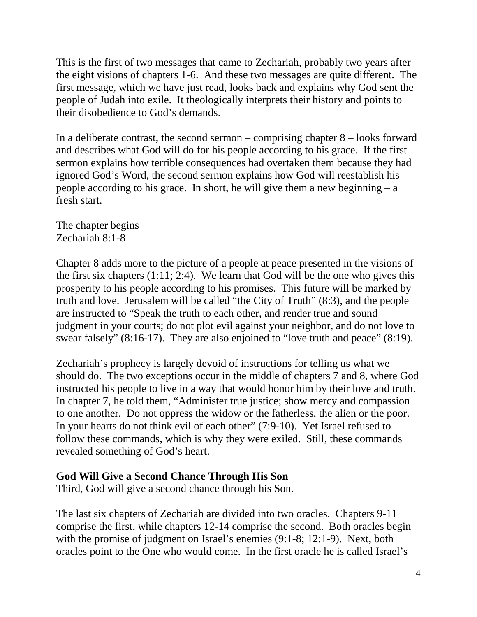This is the first of two messages that came to Zechariah, probably two years after the eight visions of chapters 1-6. And these two messages are quite different. The first message, which we have just read, looks back and explains why God sent the people of Judah into exile. It theologically interprets their history and points to their disobedience to God's demands.

In a deliberate contrast, the second sermon – comprising chapter 8 – looks forward and describes what God will do for his people according to his grace. If the first sermon explains how terrible consequences had overtaken them because they had ignored God's Word, the second sermon explains how God will reestablish his people according to his grace. In short, he will give them a new beginning – a fresh start.

The chapter begins Zechariah 8:1-8

Chapter 8 adds more to the picture of a people at peace presented in the visions of the first six chapters (1:11; 2:4). We learn that God will be the one who gives this prosperity to his people according to his promises. This future will be marked by truth and love. Jerusalem will be called "the City of Truth" (8:3), and the people are instructed to "Speak the truth to each other, and render true and sound judgment in your courts; do not plot evil against your neighbor, and do not love to swear falsely" (8:16-17). They are also enjoined to "love truth and peace" (8:19).

Zechariah's prophecy is largely devoid of instructions for telling us what we should do. The two exceptions occur in the middle of chapters 7 and 8, where God instructed his people to live in a way that would honor him by their love and truth. In chapter 7, he told them, "Administer true justice; show mercy and compassion to one another. Do not oppress the widow or the fatherless, the alien or the poor. In your hearts do not think evil of each other" (7:9-10). Yet Israel refused to follow these commands, which is why they were exiled. Still, these commands revealed something of God's heart.

#### **God Will Give a Second Chance Through His Son**

Third, God will give a second chance through his Son.

The last six chapters of Zechariah are divided into two oracles. Chapters 9-11 comprise the first, while chapters 12-14 comprise the second. Both oracles begin with the promise of judgment on Israel's enemies  $(9:1-8; 12:1-9)$ . Next, both oracles point to the One who would come. In the first oracle he is called Israel's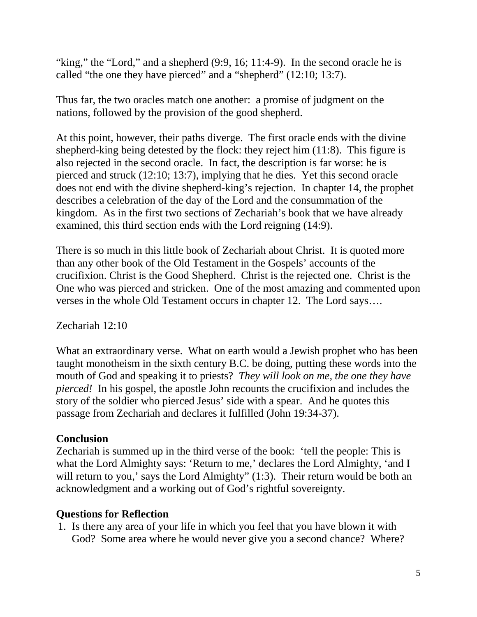"king," the "Lord," and a shepherd  $(9:9, 16; 11:4-9)$ . In the second oracle he is called "the one they have pierced" and a "shepherd" (12:10; 13:7).

Thus far, the two oracles match one another: a promise of judgment on the nations, followed by the provision of the good shepherd.

At this point, however, their paths diverge. The first oracle ends with the divine shepherd-king being detested by the flock: they reject him (11:8). This figure is also rejected in the second oracle. In fact, the description is far worse: he is pierced and struck (12:10; 13:7), implying that he dies. Yet this second oracle does not end with the divine shepherd-king's rejection. In chapter 14, the prophet describes a celebration of the day of the Lord and the consummation of the kingdom. As in the first two sections of Zechariah's book that we have already examined, this third section ends with the Lord reigning (14:9).

There is so much in this little book of Zechariah about Christ. It is quoted more than any other book of the Old Testament in the Gospels' accounts of the crucifixion. Christ is the Good Shepherd. Christ is the rejected one. Christ is the One who was pierced and stricken. One of the most amazing and commented upon verses in the whole Old Testament occurs in chapter 12. The Lord says….

Zechariah 12:10

What an extraordinary verse. What on earth would a Jewish prophet who has been taught monotheism in the sixth century B.C. be doing, putting these words into the mouth of God and speaking it to priests? *They will look on me, the one they have pierced!* In his gospel, the apostle John recounts the crucifixion and includes the story of the soldier who pierced Jesus' side with a spear. And he quotes this passage from Zechariah and declares it fulfilled (John 19:34-37).

#### **Conclusion**

Zechariah is summed up in the third verse of the book: 'tell the people: This is what the Lord Almighty says: 'Return to me,' declares the Lord Almighty, 'and I will return to you,' says the Lord Almighty" (1:3). Their return would be both an acknowledgment and a working out of God's rightful sovereignty.

#### **Questions for Reflection**

1. Is there any area of your life in which you feel that you have blown it with God? Some area where he would never give you a second chance? Where?